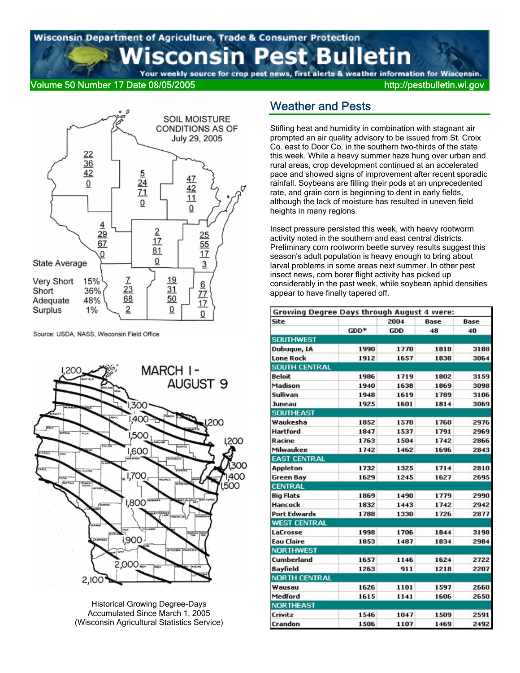### Wisconsin Department of Agriculture, Trade & Consumer Protection est Bulletin sconsin P

Your weekly source for crop pest news, first alerts & weather information for Wisconsin.

### Volume 50 Number 17 Date 08/05/2005 http://pestbulletin.wi.gov



Source: USDA, NASS, Wisconsin Field Office



Historical Growing Degree-Days Accumulated Since March 1, 2005 (Wisconsin Agricultural Statistics Service)

### Weather and Pests

Stifling heat and humidity in combination with stagnant air prompted an air quality advisory to be issued from St. Croix Co. east to Door Co. in the southern two-thirds of the state this week. While a heavy summer haze hung over urban and rural areas, crop development continued at an accelerated pace and showed signs of improvement after recent sporadic rainfall. Soybeans are filling their pods at an unprecedented rate, and grain corn is beginning to dent in early fields, although the lack of moisture has resulted in uneven field heights in many regions.

Insect pressure persisted this week, with heavy rootworm activity noted in the southern and east central districts. Preliminary corn rootworm beetle survey results suggest this season's adult population is heavy enough to bring about larval problems in some areas next summer. In other pest insect news, corn borer flight activity has picked up considerably in the past week, while soybean aphid densities appear to have finally tapered off.

| Growing Degree Days through August 4 were: |      |      |      |      |
|--------------------------------------------|------|------|------|------|
| Site                                       |      | 2004 | Base | Base |
|                                            | GDD* | GDD  | 48   | 40   |
| <b>SOUTHWEST</b>                           |      |      |      |      |
| Dubuque, IA                                | 1990 | 1770 | 1818 | 3188 |
| <b>Lone Rock</b>                           | 1912 | 1657 | 1838 | 3064 |
| <b>SOUTH CENTRAL</b>                       |      |      |      |      |
| <b>Beloit</b>                              | 1986 | 1719 | 1802 | 3159 |
| Madison                                    | 1940 | 1638 | 1869 | 3098 |
| Sullivan                                   | 1948 | 1619 | 1789 | 3106 |
| Juneau                                     | 1925 | 1601 | 1814 | 3069 |
| <b>SOUTHEAST</b>                           |      |      |      |      |
| Waukesha                                   | 1852 | 1570 | 1760 | 2976 |
| <b>Hartford</b>                            | 1847 | 1537 | 1791 | 2969 |
| Racine                                     | 1763 | 1504 | 1742 | 2866 |
| Milwaukee                                  | 1742 | 1462 | 1696 | 2843 |
| <b>EAST CENTRAL</b>                        |      |      |      |      |
| Appleton                                   | 1732 | 1325 | 1714 | 2810 |
| <b>Green Bay</b>                           | 1629 | 1245 | 1627 | 2695 |
| <b>CENTRAL</b>                             |      |      |      |      |
| <b>Big Flats</b>                           | 1869 | 1490 | 1779 | 2990 |
| <b>Hancock</b>                             | 1832 | 1443 | 1742 | 2942 |
| <b>Port Edwards</b>                        | 1788 | 1330 | 1726 | 2877 |
| <b>WEST CENTRAL</b>                        |      |      |      |      |
| LaCrosse                                   | 1998 | 1706 | 1844 | 3198 |
| <b>Eau Claire</b>                          | 1853 | 1487 | 1834 | 2984 |
| <b>NORTHWEST</b>                           |      |      |      |      |
| <b>Cumberland</b>                          | 1657 | 1146 | 1624 | 2722 |
| <b>Bayfield</b>                            | 1263 | 911  | 1218 | 2207 |
| <b>NORTH CENTRAL</b>                       |      |      |      |      |
| Wausau                                     | 1626 | 1181 | 1597 | 2660 |
| Medford                                    | 1615 | 1141 | 1606 | 2650 |
| <b>NORTHEAST</b>                           |      |      |      |      |
| Crivitz                                    | 1546 | 1047 | 1509 | 2591 |
| Crandon                                    | 1506 | 1107 | 1469 | 2492 |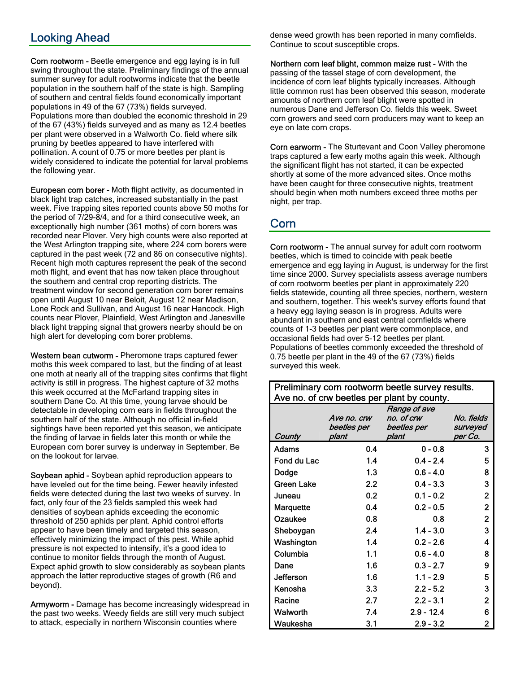# Looking Ahead

Corn rootworm - Beetle emergence and egg laying is in full swing throughout the state. Preliminary findings of the annual summer survey for adult rootworms indicate that the beetle population in the southern half of the state is high. Sampling of southern and central fields found economically important populations in 49 of the 67 (73%) fields surveyed. Populations more than doubled the economic threshold in 29 of the 67 (43%) fields surveyed and as many as 12.4 beetles per plant were observed in a Walworth Co. field where silk pruning by beetles appeared to have interfered with pollination. A count of 0.75 or more beetles per plant is widely considered to indicate the potential for larval problems the following year.

European corn borer - Moth flight activity, as documented in black light trap catches, increased substantially in the past week. Five trapping sites reported counts above 50 moths for the period of 7/29-8/4, and for a third consecutive week, an exceptionally high number (361 moths) of corn borers was recorded near Plover. Very high counts were also reported at the West Arlington trapping site, where 224 corn borers were captured in the past week (72 and 86 on consecutive nights). Recent high moth captures represent the peak of the second moth flight, and event that has now taken place throughout the southern and central crop reporting districts. The treatment window for second generation corn borer remains open until August 10 near Beloit, August 12 near Madison, Lone Rock and Sullivan, and August 16 near Hancock. High counts near Plover, Plainfield, West Arlington and Janesville black light trapping signal that growers nearby should be on high alert for developing corn borer problems.

Western bean cutworm - Pheromone traps captured fewer moths this week compared to last, but the finding of at least one moth at nearly all of the trapping sites confirms that flight activity is still in progress. The highest capture of 32 moths this week occurred at the McFarland trapping sites in southern Dane Co. At this time, young larvae should be detectable in developing corn ears in fields throughout the southern half of the state. Although no official in-field sightings have been reported yet this season, we anticipate the finding of larvae in fields later this month or while the European corn borer survey is underway in September. Be on the lookout for larvae.

Soybean aphid - Soybean aphid reproduction appears to have leveled out for the time being. Fewer heavily infested fields were detected during the last two weeks of survey. In fact, only four of the 23 fields sampled this week had densities of soybean aphids exceeding the economic threshold of 250 aphids per plant. Aphid control efforts appear to have been timely and targeted this season, effectively minimizing the impact of this pest. While aphid pressure is not expected to intensify, it's a good idea to continue to monitor fields through the month of August. Expect aphid growth to slow considerably as soybean plants approach the latter reproductive stages of growth (R6 and beyond).

Armyworm - Damage has become increasingly widespread in the past two weeks. Weedy fields are still very much subject to attack, especially in northern Wisconsin counties where

dense weed growth has been reported in many cornfields. Continue to scout susceptible crops.

Northern corn leaf blight, common maize rust - With the passing of the tassel stage of corn development, the incidence of corn leaf blights typically increases. Although little common rust has been observed this season, moderate amounts of northern corn leaf blight were spotted in numerous Dane and Jefferson Co. fields this week. Sweet corn growers and seed corn producers may want to keep an eye on late corn crops.

Corn earworm - The Sturtevant and Coon Valley pheromone traps captured a few early moths again this week. Although the significant flight has not started, it can be expected shortly at some of the more advanced sites. Once moths have been caught for three consecutive nights, treatment should begin when moth numbers exceed three moths per night, per trap.

### Corn

Corn rootworm - The annual survey for adult corn rootworm beetles, which is timed to coincide with peak beetle emergence and egg laying in August, is underway for the first time since 2000. Survey specialists assess average numbers of corn rootworm beetles per plant in approximately 220 fields statewide, counting all three species, northern, western and southern, together. This week's survey efforts found that a heavy egg laying season is in progress. Adults were abundant in southern and east central cornfields where counts of 1-3 beetles per plant were commonplace, and occasional fields had over 5-12 beetles per plant. Populations of beetles commonly exceeded the threshold of 0.75 beetle per plant in the 49 of the 67 (73%) fields surveyed this week.

| Ave no. or crw beetles per plant by county. |             |              |                |  |  |  |  |
|---------------------------------------------|-------------|--------------|----------------|--|--|--|--|
|                                             |             | Range of ave |                |  |  |  |  |
|                                             | Ave no. crw | no. of crw   | No. fields     |  |  |  |  |
|                                             | beetles per | beetles per  | surveyed       |  |  |  |  |
| County                                      | plant       | plant        | per Co.        |  |  |  |  |
| Adams                                       | 0.4         | $0 - 0.8$    | 3              |  |  |  |  |
| Fond du Lac                                 | 1.4         | $0.4 - 2.4$  | 5              |  |  |  |  |
| Dodge                                       | 1.3         | $0.6 - 4.0$  | 8              |  |  |  |  |
| Green Lake                                  | 2.2         | $0.4 - 3.3$  | 3              |  |  |  |  |
| Juneau                                      | 0.2         | $0.1 - 0.2$  | $\mathbf{2}$   |  |  |  |  |
| Marquette                                   | 0.4         | $0.2 - 0.5$  | $\mathbf{2}$   |  |  |  |  |
| Ozaukee                                     | 0.8         | 0.8          | $\overline{2}$ |  |  |  |  |
| Sheboygan                                   | 2.4         | $1.4 - 3.0$  | 3              |  |  |  |  |
| Washington                                  | 1.4         | $0.2 - 2.6$  | 4              |  |  |  |  |
| Columbia                                    | 1.1         | $0.6 - 4.0$  | 8              |  |  |  |  |
| Dane                                        | 1.6         | $0.3 - 2.7$  | 9              |  |  |  |  |
| <b>Jefferson</b>                            | 1.6         | $1.1 - 2.9$  | 5              |  |  |  |  |
| Kenosha                                     | 3.3         | $2.2 - 5.2$  | 3              |  |  |  |  |
| Racine                                      | 2.7         | $2.2 - 3.1$  | 2              |  |  |  |  |
| Walworth                                    | 7.4         | $2.9 - 12.4$ | 6              |  |  |  |  |
| Waukesha                                    | 3.1         | $2.9 - 3.2$  | 2              |  |  |  |  |

### Preliminary corn rootworm beetle survey results. Ave no. of crw beetles per plant by county.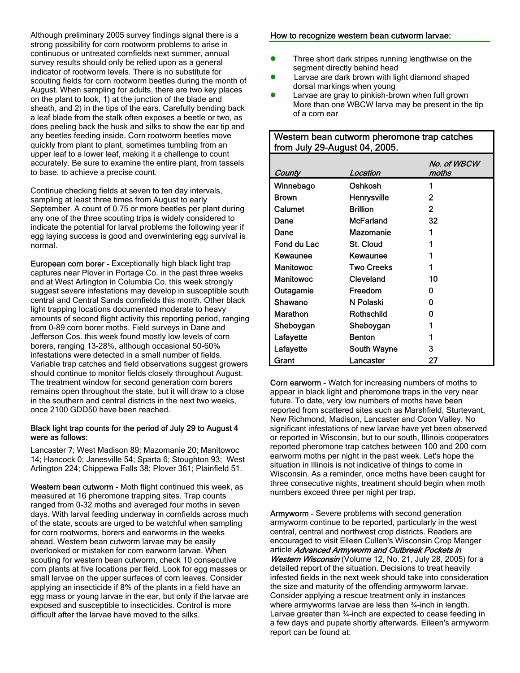Although preliminary 2005 survey findings signal there is a strong possibility for corn rootworm problems to arise in continuous or untreated cornfields next summer, annual survey results should only be relied upon as a general indicator of rootworm levels. There is no substitute for scouting fields for corn rootworm beetles during the month of August. When sampling for adults, there are two key places on the plant to look, 1) at the junction of the blade and sheath, and 2) in the tips of the ears. Carefully bending back a leaf blade from the stalk often exposes a beetle or two, as does peeling back the husk and silks to show the ear tip and any beetles feeding inside. Corn rootworm beetles move quickly from plant to plant, sometimes tumbling from an upper leaf to a lower leaf, making it a challenge to count accurately. Be sure to examine the entire plant, from tassels to base, to achieve a precise count.

Continue checking fields at seven to ten day intervals, sampling at least three times from August to early September. A count of 0.75 or more beetles per plant during any one of the three scouting trips is widely considered to indicate the potential for larval problems the following year if egg laying success is good and overwintering egg survival is normal.

European corn borer - Exceptionally high black light trap captures near Plover in Portage Co. in the past three weeks and at West Arlington in Columbia Co. this week strongly suggest severe infestations may develop in susceptible south central and Central Sands cornfields this month. Other black light trapping locations documented moderate to heavy amounts of second flight activity this reporting period, ranging from 0-89 corn borer moths. Field surveys in Dane and Jefferson Cos. this week found mostly low levels of corn borers, ranging 13-28%, although occasional 50-60% infestations were detected in a small number of fields. Variable trap catches and field observations suggest growers should continue to monitor fields closely throughout August. The treatment window for second generation corn borers remains open throughout the state, but it will draw to a close in the southern and central districts in the next two weeks, once 2100 GDD50 have been reached.

#### Black light trap counts for the period of July 29 to August 4 were as follows:

Lancaster 7; West Madison 89; Mazomanie 20; Manitowoc 14; Hancock 0; Janesville 54; Sparta 6; Stoughton 93; West Arlington 224; Chippewa Falls 38; Plover 361; Plainfield 51.

Western bean cutworm - Moth flight continued this week, as measured at 16 pheromone trapping sites. Trap counts ranged from 0-32 moths and averaged four moths in seven days. With larval feeding underway in cornfields across much of the state, scouts are urged to be watchful when sampling for corn rootworms, borers and earworms in the weeks ahead. Western bean cutworm larvae may be easily overlooked or mistaken for corn earworm larvae. When scouting for western bean cutworm, check 10 consecutive corn plants at five locations per field. Look for egg masses or small larvae on the upper surfaces of corn leaves. Consider applying an insecticide if 8% of the plants in a field have an egg mass or young larvae in the ear, but only if the larvae are exposed and susceptible to insecticides. Control is more difficult after the larvae have moved to the silks.

#### How to recognize western bean cutworm larvae:

- Three short dark stripes running lengthwise on the segment directly behind head
- Larvae are dark brown with light diamond shaped dorsal markings when young
- Larvae are gray to pinkish-brown when full grown More than one WBCW larva may be present in the tip of a corn ear

#### Western bean cutworm pheromone trap catches from July 29-August 04, 2005.

| County           | Location          | No. of WBCW<br>moths |
|------------------|-------------------|----------------------|
| Winnebago        | Oshkosh           |                      |
| <b>Brown</b>     | Henrysville       | 2                    |
| Calumet          | <b>Brillion</b>   | 2                    |
| Dane             | McFarland         | 32                   |
| Dane             | Mazomanie         | 1                    |
| Fond du Lac      | St. Cloud         |                      |
| Kewaunee         | Kewaunee          |                      |
| Manitowoc        | <b>Two Creeks</b> |                      |
| <b>Manitowoc</b> | Cleveland         | 10                   |
| Outagamie        | Freedom           | O                    |
| Shawano          | N Polaski         | ŋ                    |
| Marathon         | Rothschild        | Ω                    |
| Sheboygan        | Sheboygan         |                      |
| Lafayette        | <b>Benton</b>     |                      |
| Lafayette        | South Wayne       | З                    |
| Grant            | Lancaster         | 27                   |

Corn earworm - Watch for increasing numbers of moths to appear in black light and pheromone traps in the very near future. To date, very low numbers of moths have been reported from scattered sites such as Marshfield, Sturtevant, New Richmond, Madison, Lancaster and Coon Valley. No significant infestations of new larvae have yet been observed or reported in Wisconsin, but to our south, Illinois cooperators reported pheromone trap catches between 100 and 200 corn earworm moths per night in the past week. Let's hope the situation in Illinois is not indicative of things to come in Wisconsin. As a reminder, once moths have been caught for three consecutive nights, treatment should begin when moth numbers exceed three per night per trap.

Armyworm - Severe problems with second generation armyworm continue to be reported, particularly in the west central, central and northwest crop districts. Readers are encouraged to visit Eileen Cullen's Wisconsin Crop Manger article Advanced Armyworm and Outbreak Pockets in Western Wisconsin (Volume 12, No. 21, July 28, 2005) for a detailed report of the situation. Decisions to treat heavily infested fields in the next week should take into consideration the size and maturity of the offending armyworm larvae. Consider applying a rescue treatment only in instances where armyworms larvae are less than 3/4-inch in length. Larvae greater than ¾-inch are expected to cease feeding in a few days and pupate shortly afterwards. Eileen's armyworm report can be found at: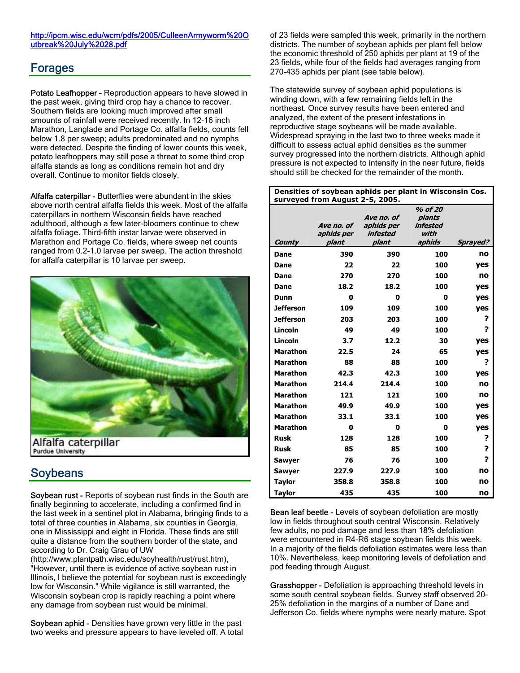#### http://ipcm.wisc.edu/wcm/pdfs/2005/CulleenArmyworm%20O utbreak%20July%2028.pdf

### Forages

Potato Leafhopper - Reproduction appears to have slowed in the past week, giving third crop hay a chance to recover. Southern fields are looking much improved after small amounts of rainfall were received recently. In 12-16 inch Marathon, Langlade and Portage Co. alfalfa fields, counts fell below 1.8 per sweep; adults predominated and no nymphs were detected. Despite the finding of lower counts this week, potato leafhoppers may still pose a threat to some third crop alfalfa stands as long as conditions remain hot and dry overall. Continue to monitor fields closely.

Alfalfa caterpillar - Butterflies were abundant in the skies above north central alfalfa fields this week. Most of the alfalfa caterpillars in northern Wisconsin fields have reached adulthood, although a few later-bloomers continue to chew alfalfa foliage. Third-fifth instar larvae were observed in Marathon and Portage Co. fields, where sweep net counts ranged from 0.2-1.0 larvae per sweep. The action threshold for alfalfa caterpillar is 10 larvae per sweep.



## Soybeans

Soybean rust - Reports of soybean rust finds in the South are finally beginning to accelerate, including a confirmed find in the last week in a sentinel plot in Alabama, bringing finds to a total of three counties in Alabama, six counties in Georgia, one in Mississippi and eight in Florida. These finds are still quite a distance from the southern border of the state, and according to Dr. Craig Grau of UW

(http://www.plantpath.wisc.edu/soyhealth/rust/rust.htm), "However, until there is evidence of active soybean rust in Illinois, I believe the potential for soybean rust is exceedingly low for Wisconsin." While vigilance is still warranted, the Wisconsin soybean crop is rapidly reaching a point where any damage from soybean rust would be minimal.

Soybean aphid - Densities have grown very little in the past two weeks and pressure appears to have leveled off. A total of 23 fields were sampled this week, primarily in the northern districts. The number of soybean aphids per plant fell below the economic threshold of 250 aphids per plant at 19 of the 23 fields, while four of the fields had averages ranging from 270-435 aphids per plant (see table below).

The statewide survey of soybean aphid populations is winding down, with a few remaining fields left in the northeast. Once survey results have been entered and analyzed, the extent of the present infestations in reproductive stage soybeans will be made available. Widespread spraying in the last two to three weeks made it difficult to assess actual aphid densities as the summer survey progressed into the northern districts. Although aphid pressure is not expected to intensify in the near future, fields should still be checked for the remainder of the month.

| Densities of soybean aphids per plant in Wisconsin Cos. |                                   |                                               |                                                 |                 |  |  |  |  |
|---------------------------------------------------------|-----------------------------------|-----------------------------------------------|-------------------------------------------------|-----------------|--|--|--|--|
|                                                         | surveyed from August 2-5, 2005.   |                                               |                                                 |                 |  |  |  |  |
| County                                                  | Ave no, of<br>aphids per<br>plant | Ave no. of<br>aphids per<br>infested<br>plant | % of 20<br>plants<br>infested<br>with<br>aphids | <b>Sprayed?</b> |  |  |  |  |
| <b>Dane</b>                                             | 390                               | 390                                           | 100                                             | no              |  |  |  |  |
| Dane                                                    | 22                                | 22                                            | 100                                             | yes             |  |  |  |  |
| Dane                                                    | 270                               | 270                                           | 100                                             | no              |  |  |  |  |
| Dane                                                    | 18.2                              | 18.2                                          | 100                                             | yes             |  |  |  |  |
| <b>Dunn</b>                                             | 0                                 | 0                                             | 0                                               | yes             |  |  |  |  |
| <b>Jefferson</b>                                        | 109                               | 109                                           | 100                                             | <b>ves</b>      |  |  |  |  |
| <b>Jefferson</b>                                        | 203                               | 203                                           | 100                                             | ?               |  |  |  |  |
| Lincoln                                                 | 49                                | 49                                            | 100                                             | 2               |  |  |  |  |
| Lincoln                                                 | 3.7                               | 12.2                                          | 30                                              | yes             |  |  |  |  |
| <b>Marathon</b>                                         | 22.5                              | 24                                            | 65                                              | yes             |  |  |  |  |
| <b>Marathon</b>                                         | 88                                | 88                                            | 100                                             | ?               |  |  |  |  |
| <b>Marathon</b>                                         | 42.3                              | 42.3                                          | 100                                             | yes             |  |  |  |  |
| <b>Marathon</b>                                         | 214.4                             | 214.4                                         | 100                                             | no              |  |  |  |  |
| <b>Marathon</b>                                         | 121                               | 121                                           | 100                                             | no              |  |  |  |  |
| <b>Marathon</b>                                         | 49.9                              | 49.9                                          | 100                                             | yes             |  |  |  |  |
| <b>Marathon</b>                                         | 33.1                              | 33.1                                          | 100                                             | yes             |  |  |  |  |
| <b>Marathon</b>                                         | 0                                 | 0                                             | 0                                               | <b>ves</b>      |  |  |  |  |
| <b>Rusk</b>                                             | 128                               | 128                                           | 100                                             | ?               |  |  |  |  |
| <b>Rusk</b>                                             | 85                                | 85                                            | 100                                             | ?               |  |  |  |  |
| <b>Sawyer</b>                                           | 76                                | 76                                            | 100                                             | 2               |  |  |  |  |
| <b>Sawyer</b>                                           | 227.9                             | 227.9                                         | 100                                             | no              |  |  |  |  |
| Taylor                                                  | 358.8                             | 358.8                                         | 100                                             | no              |  |  |  |  |
| Taylor                                                  | 435                               | 435                                           | 100                                             | no              |  |  |  |  |

Bean leaf beetle - Levels of soybean defoliation are mostly low in fields throughout south central Wisconsin. Relatively few adults, no pod damage and less than 18% defoliation were encountered in R4-R6 stage soybean fields this week. In a majority of the fields defoliation estimates were less than 10%. Nevertheless, keep monitoring levels of defoliation and pod feeding through August.

Grasshopper - Defoliation is approaching threshold levels in some south central soybean fields. Survey staff observed 20- 25% defoliation in the margins of a number of Dane and Jefferson Co. fields where nymphs were nearly mature. Spot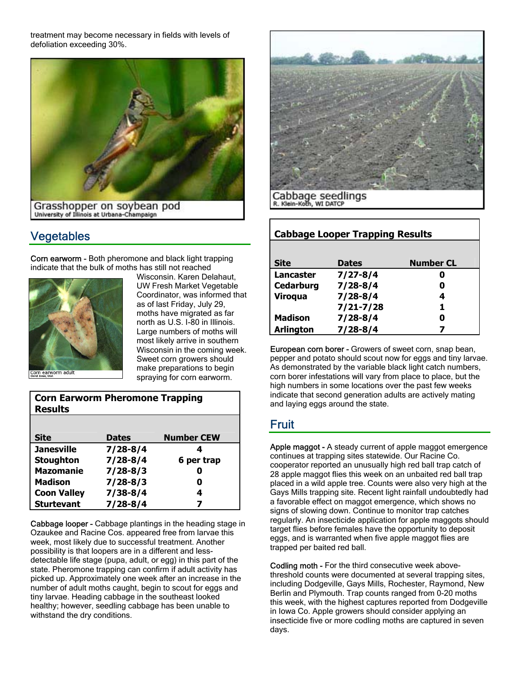treatment may become necessary in fields with levels of defoliation exceeding 30%.



## Vegetables

Corn earworm - Both pheromone and black light trapping indicate that the bulk of moths has still not reached



Wisconsin. Karen Delahaut, UW Fresh Market Vegetable Coordinator, was informed that as of last Friday, July 29, moths have migrated as far north as U.S. I-80 in Illinois. Large numbers of moths will most likely arrive in southern Wisconsin in the coming week. Sweet corn growers should make preparations to begin spraying for corn earworm.

| <b>Corn Earworm Pheromone Trapping</b><br><b>Results</b> |              |                   |  |  |  |  |
|----------------------------------------------------------|--------------|-------------------|--|--|--|--|
|                                                          |              |                   |  |  |  |  |
| Site                                                     | <b>Dates</b> | <b>Number CEW</b> |  |  |  |  |
| <b>Janesville</b>                                        | $7/28 - 8/4$ | 4                 |  |  |  |  |
| <b>Stoughton</b>                                         | $7/28 - 8/4$ | 6 per trap        |  |  |  |  |
| <b>Mazomanie</b>                                         | $7/28 - 8/3$ | O                 |  |  |  |  |
| <b>Madison</b>                                           | $7/28 - 8/3$ | 0                 |  |  |  |  |
| <b>Coon Valley</b>                                       | $7/38 - 8/4$ | 4                 |  |  |  |  |
| <b>Sturtevant</b>                                        | $7/28 - 8/4$ | 7                 |  |  |  |  |

Cabbage looper - Cabbage plantings in the heading stage in Ozaukee and Racine Cos. appeared free from larvae this week, most likely due to successful treatment. Another possibility is that loopers are in a different and lessdetectable life stage (pupa, adult, or egg) in this part of the state. Pheromone trapping can confirm if adult activity has picked up. Approximately one week after an increase in the number of adult moths caught, begin to scout for eggs and tiny larvae. Heading cabbage in the southeast looked healthy; however, seedling cabbage has been unable to withstand the dry conditions.



Cabbage seedlings R. Klein-Koth, WI DATCP

| <b>Cabbage Looper Trapping Results</b> |               |                  |  |  |  |  |
|----------------------------------------|---------------|------------------|--|--|--|--|
|                                        |               |                  |  |  |  |  |
| <b>Site</b>                            | <b>Dates</b>  | <b>Number CL</b> |  |  |  |  |
| Lancaster                              | $7/27 - 8/4$  |                  |  |  |  |  |
| Cedarburg                              | $7/28 - 8/4$  | O                |  |  |  |  |
| <b>Viroqua</b>                         | $7/28 - 8/4$  | 4                |  |  |  |  |
|                                        | $7/21 - 7/28$ | 1                |  |  |  |  |
| <b>Madison</b>                         | $7/28 - 8/4$  | O                |  |  |  |  |
| <b>Arlington</b>                       | $7/28 - 8/4$  |                  |  |  |  |  |

European corn borer - Growers of sweet corn, snap bean, pepper and potato should scout now for eggs and tiny larvae. As demonstrated by the variable black light catch numbers, corn borer infestations will vary from place to place, but the high numbers in some locations over the past few weeks indicate that second generation adults are actively mating and laying eggs around the state.

## Fruit

Apple maggot - A steady current of apple maggot emergence continues at trapping sites statewide. Our Racine Co. cooperator reported an unusually high red ball trap catch of 28 apple maggot flies this week on an unbaited red ball trap placed in a wild apple tree. Counts were also very high at the Gays Mills trapping site. Recent light rainfall undoubtedly had a favorable effect on maggot emergence, which shows no signs of slowing down. Continue to monitor trap catches regularly. An insecticide application for apple maggots should target flies before females have the opportunity to deposit eggs, and is warranted when five apple maggot flies are trapped per baited red ball.

Codling moth - For the third consecutive week abovethreshold counts were documented at several trapping sites, including Dodgeville, Gays Mills, Rochester, Raymond, New Berlin and Plymouth. Trap counts ranged from 0-20 moths this week, with the highest captures reported from Dodgeville in Iowa Co. Apple growers should consider applying an insecticide five or more codling moths are captured in seven days.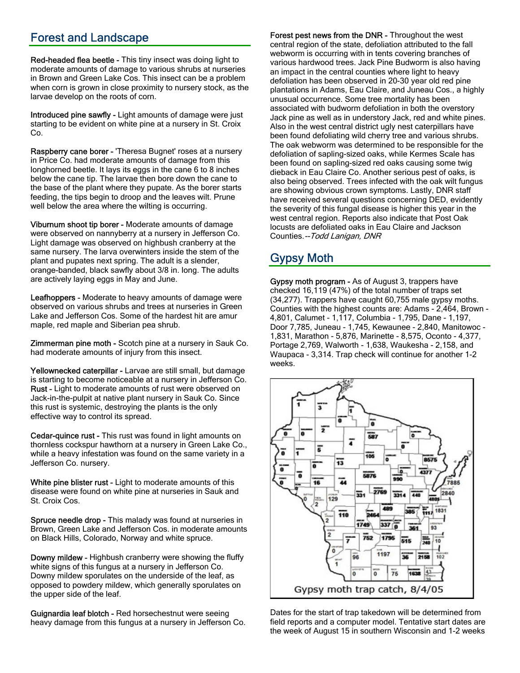## Forest and Landscape

Red-headed flea beetle - This tiny insect was doing light to moderate amounts of damage to various shrubs at nurseries in Brown and Green Lake Cos. This insect can be a problem when corn is grown in close proximity to nursery stock, as the larvae develop on the roots of corn.

Introduced pine sawfly - Light amounts of damage were just starting to be evident on white pine at a nursery in St. Croix Co.

Raspberry cane borer - 'Theresa Bugnet' roses at a nursery in Price Co. had moderate amounts of damage from this longhorned beetle. It lays its eggs in the cane 6 to 8 inches below the cane tip. The larvae then bore down the cane to the base of the plant where they pupate. As the borer starts feeding, the tips begin to droop and the leaves wilt. Prune well below the area where the wilting is occurring.

Viburnum shoot tip borer - Moderate amounts of damage were observed on nannyberry at a nursery in Jefferson Co. Light damage was observed on highbush cranberry at the same nursery. The larva overwinters inside the stem of the plant and pupates next spring. The adult is a slender, orange-banded, black sawfly about 3/8 in. long. The adults are actively laying eggs in May and June.

Leafhoppers - Moderate to heavy amounts of damage were observed on various shrubs and trees at nurseries in Green Lake and Jefferson Cos. Some of the hardest hit are amur maple, red maple and Siberian pea shrub.

Zimmerman pine moth - Scotch pine at a nursery in Sauk Co. had moderate amounts of injury from this insect.

Yellownecked caterpillar - Larvae are still small, but damage is starting to become noticeable at a nursery in Jefferson Co. Rust - Light to moderate amounts of rust were observed on Jack-in-the-pulpit at native plant nursery in Sauk Co. Since this rust is systemic, destroying the plants is the only effective way to control its spread.

Cedar-quince rust - This rust was found in light amounts on thornless cockspur hawthorn at a nursery in Green Lake Co., while a heavy infestation was found on the same variety in a Jefferson Co. nursery.

White pine blister rust - Light to moderate amounts of this disease were found on white pine at nurseries in Sauk and St. Croix Cos.

Spruce needle drop - This malady was found at nurseries in Brown, Green Lake and Jefferson Cos. in moderate amounts on Black Hills, Colorado, Norway and white spruce.

Downy mildew - Highbush cranberry were showing the fluffy white signs of this fungus at a nursery in Jefferson Co. Downy mildew sporulates on the underside of the leaf, as opposed to powdery mildew, which generally sporulates on the upper side of the leaf.

Guignardia leaf blotch - Red horsechestnut were seeing heavy damage from this fungus at a nursery in Jefferson Co.

Forest pest news from the DNR - Throughout the west central region of the state, defoliation attributed to the fall webworm is occurring with in tents covering branches of various hardwood trees. Jack Pine Budworm is also having an impact in the central counties where light to heavy defoliation has been observed in 20-30 year old red pine plantations in Adams, Eau Claire, and Juneau Cos., a highly unusual occurrence. Some tree mortality has been associated with budworm defoliation in both the overstory Jack pine as well as in understory Jack, red and white pines. Also in the west central district ugly nest caterpillars have been found defoliating wild cherry tree and various shrubs. The oak webworm was determined to be responsible for the defoliation of sapling-sized oaks, while Kermes Scale has been found on sapling-sized red oaks causing some twig dieback in Eau Claire Co. Another serious pest of oaks, is also being observed. Trees infected with the oak wilt fungus are showing obvious crown symptoms. Lastly, DNR staff have received several questions concerning DED, evidently the severity of this fungal disease is higher this year in the west central region. Reports also indicate that Post Oak locusts are defoliated oaks in Eau Claire and Jackson Counties.--Todd Lanigan, DNR

# Gypsy Moth

Gypsy moth program - As of August 3, trappers have checked 16,119 (47%) of the total number of traps set (34,277). Trappers have caught 60,755 male gypsy moths. Counties with the highest counts are: Adams - 2,464, Brown - 4,801, Calumet - 1,117, Columbia - 1,795, Dane - 1,197, Door 7,785, Juneau - 1,745, Kewaunee - 2,840, Manitowoc - 1,831, Marathon - 5,876, Marinette - 8,575, Oconto - 4,377, Portage 2,769, Walworth - 1,638, Waukesha - 2,158, and Waupaca - 3,314. Trap check will continue for another 1-2 weeks.



Dates for the start of trap takedown will be determined from field reports and a computer model. Tentative start dates are the week of August 15 in southern Wisconsin and 1-2 weeks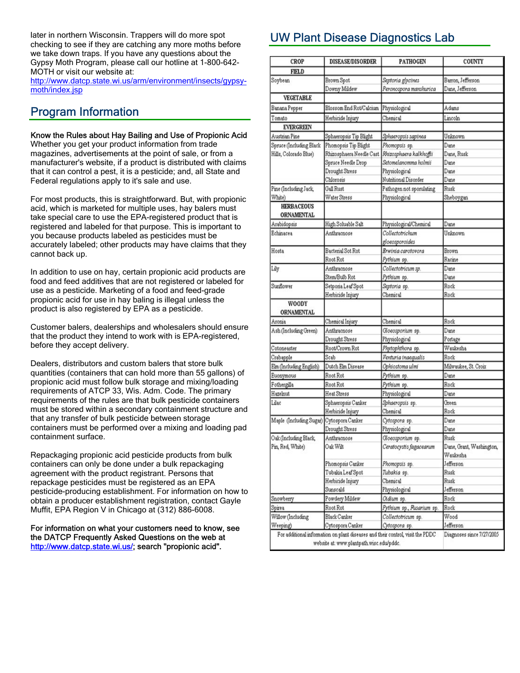later in northern Wisconsin. Trappers will do more spot checking to see if they are catching any more moths before we take down traps. If you have any questions about the Gypsy Moth Program, please call our hotline at 1-800-642- MOTH or visit our website at:

http://www.datcp.state.wi.us/arm/environment/insects/gypsymoth/index.jsp

## Program Information

#### Know the Rules about Hay Bailing and Use of Propionic Acid

Whether you get your product information from trade magazines, advertisements at the point of sale, or from a manufacturer's website, if a product is distributed with claims that it can control a pest, it is a pesticide; and, all State and Federal regulations apply to it's sale and use.

For most products, this is straightforward. But, with propionic acid, which is marketed for multiple uses, hay balers must take special care to use the EPA-registered product that is registered and labeled for that purpose. This is important to you because products labeled as pesticides must be accurately labeled; other products may have claims that they cannot back up.

In addition to use on hay, certain propionic acid products are food and feed additives that are not registered or labeled for use as a pesticide. Marketing of a food and feed-grade propionic acid for use in hay baling is illegal unless the product is also registered by EPA as a pesticide.

Customer balers, dealerships and wholesalers should ensure that the product they intend to work with is EPA-registered, before they accept delivery.

Dealers, distributors and custom balers that store bulk quantities (containers that can hold more than 55 gallons) of propionic acid must follow bulk storage and mixing/loading requirements of ATCP 33, Wis. Adm. Code. The primary requirements of the rules are that bulk pesticide containers must be stored within a secondary containment structure and that any transfer of bulk pesticide between storage containers must be performed over a mixing and loading pad containment surface.

Repackaging propionic acid pesticide products from bulk containers can only be done under a bulk repackaging agreement with the product registrant. Persons that repackage pesticides must be registered as an EPA pesticide-producing establishment. For information on how to obtain a producer establishment registration, contact Gayle Muffit, EPA Region V in Chicago at (312) 886-6008.

#### For information on what your customers need to know, see the DATCP Frequently Asked Questions on the web at http://www.datcp.state.wi.us/; search "propionic acid".

# UW Plant Disease Diagnostics Lab

| <b>CROP</b>                            | <b>DISEASE/DISORDER</b>                  | <b>PATHOGEN</b>                                                                | COUNTY                    |
|----------------------------------------|------------------------------------------|--------------------------------------------------------------------------------|---------------------------|
| FIELD                                  |                                          |                                                                                |                           |
| Soybean                                | Brown Spot                               | Septoria glycines                                                              | Barron, Jefferson         |
|                                        | Downy Mildew                             | Peronospora manshurica                                                         | Dane, Jefferson           |
| <b>VEGETABLE</b>                       |                                          |                                                                                |                           |
| Banana Pepper                          | Blossom End Rot/Calcium Physiological    |                                                                                | Adams                     |
| Tomato                                 | Herbicide Injury                         | Chemical                                                                       | Lincoln                   |
| <b>EVERGREEN</b>                       |                                          |                                                                                |                           |
| Austrian Pine                          | Sphaeropsis Tip Blight                   | Sphaeropsis sapinea                                                            | Unknown                   |
| Spruce (Including Black                | Phomopsis Tip Blight                     | Phomopsis sp.                                                                  | Dane                      |
| Hills, Colorado Blue)                  | Rhizosphaera Needle Cast                 | Rhizosphaera kalkhoffii                                                        | Dane, Rusk                |
|                                        | Spruce Needle Drop                       | Setomelanomma holmii                                                           | Dane                      |
|                                        | Drought Stress                           | Physiological                                                                  | Dane                      |
|                                        | Chlorosis                                | Nutritional Disorder                                                           | Dane                      |
| Pine (Including Jack,                  | Gall Rust                                | Pathogen not sponulating                                                       | Rusk                      |
| White)                                 | Water Stress                             | Physiological                                                                  | Sheboygan                 |
| <b>HERBACEOUS</b><br><b>ORNAMENTAL</b> |                                          |                                                                                |                           |
| Arabidopsis                            | High Soluable Salt                       | Physiological/Chemical                                                         | Dane                      |
| Echinacea                              | Anthracnose                              | Collectotrichum                                                                | Unknown                   |
|                                        |                                          | gloeosporoides                                                                 |                           |
| Hosta                                  | Bacterial Sot Rot                        | Erwinia carotovora                                                             | Brown                     |
|                                        | Root Rot                                 | Pythium sp.                                                                    | Racine                    |
| Lily                                   | Anthracnose                              | Collectotricum sp.                                                             | Dane                      |
|                                        | Stem/Bulb Rot                            | Pythium sp.                                                                    | Dane                      |
| Sunflower                              | Setporia Leaf Spot                       | Septoria sp.                                                                   | Rock                      |
|                                        | Herbicide Injury                         | Chemical                                                                       | Rock                      |
| WOODY                                  |                                          |                                                                                |                           |
| <b>ORNAMENTAL</b>                      |                                          |                                                                                |                           |
| Aronia                                 | Chemical Injury                          | Chemical                                                                       | Rock                      |
| Ash (Including Green)                  | Anthracnose                              | Gloeosporium sp.                                                               | Dane                      |
|                                        | Drought Stress                           | Physiological                                                                  | Portage                   |
| Cotoneaster                            | Root/Crown Rot                           | Phytophthora sp.                                                               | Waukesha                  |
| Crabapple                              | Scab                                     | Venturia inaequalis                                                            | Rock                      |
| Elm (Including English)                | Dutch Elm Disease                        | Ophiostoma ulmi                                                                | Milwaukee, St. Croix      |
| Euonymous                              | Root Rot                                 | Pythium sp.                                                                    | Dane                      |
| Fothergilla                            | Root Rot                                 | Pythium sp.                                                                    | Rock                      |
| Hazelnut                               | <b>Heat Stress</b>                       | Physiological                                                                  | Dane                      |
| Lilac                                  | Sphaeropsis Canker                       | Sphaeropsis sp.                                                                | Green                     |
|                                        | Herbicide Injury                         | Chemical                                                                       | Rock                      |
| Maple (Including Sugar)                | Cytospora Canker                         | Cytospora sp.                                                                  | Dane                      |
|                                        | Drought Stress                           | Physiological                                                                  | Dane                      |
| Oak (Including Black,                  | Anthracnose                              | Gloeosporium sp.                                                               | Rusk                      |
| Pin, Red, White)                       | Oak Wilt                                 | Ceratocystis fagacearum                                                        | Dane, Grant, Washington,  |
|                                        |                                          |                                                                                | Waukesha                  |
|                                        | Phomopsis Canker                         | Phomopsis sp.                                                                  | Jefferson                 |
|                                        | Tubakia Leaf Spot                        | Tubakia sp.                                                                    | Rusk                      |
|                                        | Herbicide Injury                         | Chemical                                                                       | Rusk                      |
|                                        | Sunscald                                 | Physiological                                                                  | Jefferson                 |
| Snowberry                              | Powdery Mildew                           | Oldium sp.                                                                     | Rock                      |
| Spirea                                 | Root Rot                                 | Pythium sp., Fusarium sp.                                                      | Rock                      |
| Willow (Including                      | Black Canker                             | Collectotricum sp.                                                             | Wood                      |
| Weeping)                               | Cytospora Canker                         | Cytospora sp.                                                                  | Jefferson                 |
|                                        | website at: www.plantpath.wisc.edu/pddc. | For additional information on plant diseases and their control, visit the PDDC | Diagnoses since 7/27/2005 |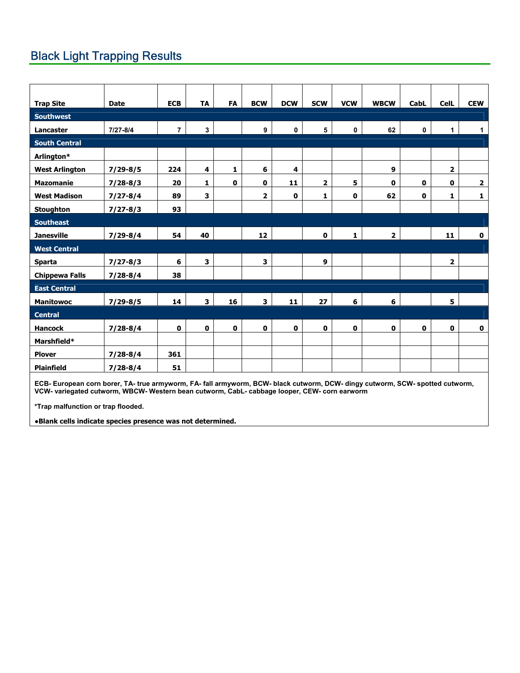# Black Light Trapping Results

| <b>Trap Site</b>      | <b>Date</b>  | <b>ECB</b>     | <b>TA</b>    | <b>FA</b>   | <b>BCW</b>              | <b>DCW</b>  | <b>SCW</b>   | <b>VCW</b>   | <b>WBCW</b>             | CabL | <b>CelL</b>             | <b>CEW</b>   |
|-----------------------|--------------|----------------|--------------|-------------|-------------------------|-------------|--------------|--------------|-------------------------|------|-------------------------|--------------|
| Southwest             |              |                |              |             |                         |             |              |              |                         |      |                         |              |
| Lancaster             | 7/27-8/4     | $\overline{7}$ | $\mathbf{3}$ |             | $\boldsymbol{9}$        | $\pmb{0}$   | 5            | $\pmb{0}$    | 62                      | 0    | $\mathbf{1}$            | $\mathbf{1}$ |
| <b>South Central</b>  |              |                |              |             |                         |             |              |              |                         |      |                         |              |
| Arlington*            |              |                |              |             |                         |             |              |              |                         |      |                         |              |
| <b>West Arlington</b> | $7/29 - 8/5$ | 224            | 4            | 1           | 6                       | 4           |              |              | 9                       |      | $\overline{\mathbf{2}}$ |              |
| <b>Mazomanie</b>      | $7/28 - 8/3$ | 20             | $\mathbf{1}$ | $\mathbf 0$ | $\mathbf 0$             | 11          | $\mathbf{2}$ | 5            | 0                       | 0    | $\mathbf{0}$            | $\mathbf{2}$ |
| <b>West Madison</b>   | $7/27 - 8/4$ | 89             | 3            |             | $\overline{\mathbf{2}}$ | $\mathbf 0$ | 1            | $\mathbf 0$  | 62                      | 0    | 1                       | $\mathbf 1$  |
| <b>Stoughton</b>      | $7/27 - 8/3$ | 93             |              |             |                         |             |              |              |                         |      |                         |              |
| <b>Southeast</b>      |              |                |              |             |                         |             |              |              |                         |      |                         |              |
| <b>Janesville</b>     | $7/29 - 8/4$ | 54             | 40           |             | 12                      |             | $\mathbf 0$  | $\mathbf{1}$ | $\overline{\mathbf{2}}$ |      | 11                      | $\mathbf 0$  |
| <b>West Central</b>   |              |                |              |             |                         |             |              |              |                         |      |                         |              |
| Sparta                | $7/27 - 8/3$ | 6              | 3            |             | 3                       |             | 9            |              |                         |      | $\overline{\mathbf{2}}$ |              |
| <b>Chippewa Falls</b> | $7/28 - 8/4$ | 38             |              |             |                         |             |              |              |                         |      |                         |              |
| <b>East Central</b>   |              |                |              |             |                         |             |              |              |                         |      |                         |              |
| <b>Manitowoc</b>      | $7/29 - 8/5$ | 14             | $\mathbf{3}$ | 16          | $\mathbf{3}$            | 11          | 27           | 6            | 6                       |      | 5                       |              |
| <b>Central</b>        |              |                |              |             |                         |             |              |              |                         |      |                         |              |
| <b>Hancock</b>        | $7/28 - 8/4$ | $\mathbf 0$    | $\mathbf 0$  | $\mathbf 0$ | $\mathbf 0$             | $\mathbf 0$ | $\mathbf 0$  | $\mathbf 0$  | $\mathbf 0$             | 0    | $\mathbf 0$             | $\mathbf 0$  |
| Marshfield*           |              |                |              |             |                         |             |              |              |                         |      |                         |              |
| <b>Plover</b>         | $7/28 - 8/4$ | 361            |              |             |                         |             |              |              |                         |      |                         |              |
| <b>Plainfield</b>     | $7/28 - 8/4$ | 51             |              |             |                         |             |              |              |                         |      |                         |              |

**ECB- European corn borer, TA- true armyworm, FA- fall armyworm, BCW- black cutworm, DCW- dingy cutworm, SCW- spotted cutworm, VCW- variegated cutworm, WBCW- Western bean cutworm, CabL- cabbage looper, CEW- corn earworm** 

**\*Trap malfunction or trap flooded.** 

**●Blank cells indicate species presence was not determined.**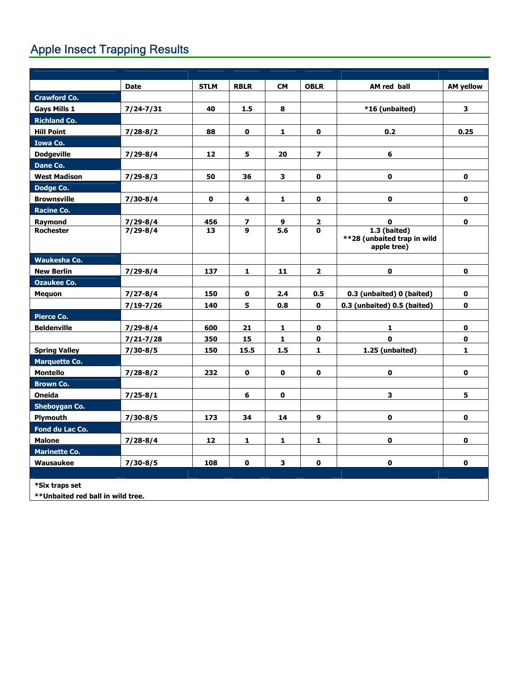# Apple Insect Trapping Results

|                                                     | <b>Date</b>   | <b>STLM</b> | <b>RBLR</b>  | <b>CM</b>    | <b>OBLR</b>    | AM red ball                                                  | <b>AM yellow</b>        |
|-----------------------------------------------------|---------------|-------------|--------------|--------------|----------------|--------------------------------------------------------------|-------------------------|
| <b>Crawford Co.</b>                                 |               |             |              |              |                |                                                              |                         |
| <b>Gays Mills 1</b>                                 | $7/24 - 7/31$ | 40          | 1.5          | 8            |                | *16 (unbaited)                                               | $\overline{\mathbf{3}}$ |
| <b>Richland Co.</b>                                 |               |             |              |              |                |                                                              |                         |
| <b>Hill Point</b>                                   | $7/28 - 8/2$  | 88          | $\mathbf{0}$ | 1            | $\mathbf{0}$   | 0.2                                                          | 0.25                    |
| <b>Iowa Co.</b>                                     |               |             |              |              |                |                                                              |                         |
| <b>Dodgeville</b>                                   | $7/29 - 8/4$  | 12          | 5            | 20           | $\overline{ }$ | 6                                                            |                         |
| Dane Co.                                            |               |             |              |              |                |                                                              |                         |
| <b>West Madison</b>                                 | $7/29 - 8/3$  | 50          | 36           | 3            | $\mathbf 0$    | $\mathbf 0$                                                  | $\mathbf 0$             |
| Dodge Co.                                           |               |             |              |              |                |                                                              |                         |
| <b>Brownsville</b>                                  | $7/30 - 8/4$  | $\mathbf 0$ | 4            | $\mathbf{1}$ | $\mathbf 0$    | $\mathbf 0$                                                  | $\mathbf 0$             |
| <b>Racine Co.</b>                                   |               |             |              |              |                |                                                              |                         |
| Raymond                                             | $7/29 - 8/4$  | 456         | 7            | 9            | $\overline{2}$ | $\mathbf 0$                                                  | $\mathbf 0$             |
| <b>Rochester</b>                                    | $7/29 - 8/4$  | 13          | 9            | 5.6          | $\mathbf{0}$   | $1.3$ (baited)<br>**28 (unbaited trap in wild<br>apple tree) |                         |
| <b>Waukesha Co.</b>                                 |               |             |              |              |                |                                                              |                         |
| <b>New Berlin</b>                                   | $7/29 - 8/4$  | 137         | 1            | 11           | $\overline{2}$ | $\mathbf 0$                                                  | $\mathbf 0$             |
| <b>Ozaukee Co.</b>                                  |               |             |              |              |                |                                                              |                         |
| <b>Mequon</b>                                       | $7/27 - 8/4$  | 150         | $\mathbf 0$  | 2.4          | 0.5            | 0.3 (unbaited) 0 (baited)                                    | $\mathbf 0$             |
|                                                     | $7/19 - 7/26$ | 140         | 5            | 0.8          | $\mathbf{0}$   | 0.3 (unbaited) 0.5 (baited)                                  | $\mathbf{0}$            |
| <b>Pierce Co.</b>                                   |               |             |              |              |                |                                                              |                         |
| <b>Beldenville</b>                                  | $7/29 - 8/4$  | 600         | 21           | $\mathbf{1}$ | $\mathbf 0$    | $\mathbf{1}$                                                 | $\mathbf 0$             |
|                                                     | $7/21 - 7/28$ | 350         | 15           | $\mathbf{1}$ | $\mathbf{0}$   | $\mathbf{0}$                                                 | $\mathbf 0$             |
| <b>Spring Valley</b>                                | $7/30 - 8/5$  | 150         | 15.5         | 1.5          | $\mathbf{1}$   | 1.25 (unbaited)                                              | $\mathbf{1}$            |
| <b>Marquette Co.</b>                                |               |             |              |              |                |                                                              |                         |
| <b>Montello</b>                                     | $7/28 - 8/2$  | 232         | $\mathbf 0$  | $\mathbf 0$  | $\mathbf 0$    | $\mathbf 0$                                                  | $\mathbf 0$             |
| <b>Brown Co.</b>                                    |               |             |              |              |                |                                                              |                         |
| <b>Oneida</b>                                       | $7/25 - 8/1$  |             | 6            | $\mathbf 0$  |                | 3                                                            | 5                       |
| <b>Sheboygan Co.</b>                                |               |             |              |              |                |                                                              |                         |
| <b>Plymouth</b>                                     | $7/30 - 8/5$  | 173         | 34           | 14           | 9              | $\mathbf{0}$                                                 | $\mathbf 0$             |
| Fond du Lac Co.                                     |               |             |              |              |                |                                                              |                         |
| <b>Malone</b>                                       | $7/28 - 8/4$  | 12          | $\mathbf{1}$ | $\mathbf{1}$ | $\mathbf{1}$   | $\mathbf 0$                                                  | $\mathbf 0$             |
| <b>Marinette Co.</b>                                |               |             |              |              |                |                                                              |                         |
| Wausaukee                                           | $7/30 - 8/5$  | 108         | $\mathbf 0$  | 3            | $\mathbf 0$    | $\mathbf 0$                                                  | $\mathbf 0$             |
|                                                     |               |             |              |              |                |                                                              |                         |
| *Six traps set<br>**Unbaited red ball in wild tree. |               |             |              |              |                |                                                              |                         |